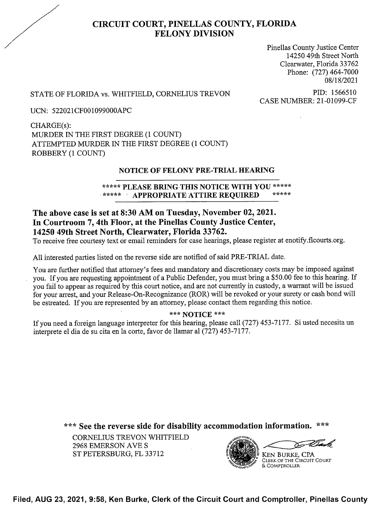

# CIRCUIT COURT, PINELLAS COUNTY, FLORIDA FELONY DIVISION

Pinellas County Justice Center 14250 49th Street North Clearwater, Florida 33762 Phone: (727) 464-7000 08/1 8/2021

# STATE OF FLORIDA vs. WHITFIELD, CORNELIUS TREVON PID: 1566510<br>CASE NUMBER: 21-01099-CF

UCN: 522021CF00 099000APC

CHARGE(s): MURDER 1N THE FIRST DEGREE (1 COUNT) ATTEMPTED MURDER IN THE FIRST DEGREE (1 COUNT) ROBBERY (1 COUNT)

# NOTICE OF FELONY PRE-TRIAL HEARING

# \*\*\*\*\* PLEASE BRING THIS NOTICE WITH YOU \*\*\*\*\* \*\*\*\*\* **' APPROPRIATE ATTIRE REQUIRED**

# The above case is set at 8:30 AM on Tuesday, November 02, 2021. In Courtroom 7, 4th Floor, at the Pinellas County Justice Center, 14250 49th Street North, Clearwater, Florida 33762.

To receive free courtesy text or email reminders for case hearings, please register at enotify.flcourts.org.

A11 interested parties listed on the reverse side are notified of said PRE-TRIAL date.

You are further notified that attorney's fees and mandatory and discretionary costs may be imposed against you. If you are requesting appointment of a Public Defender, you must bring a \$50.00 fee to this hearing. If you fail to appear as required by this court notice, and are not currently in custody, a warrant will be issued for your arrest, and your Release-On-Recognizance (ROR) will be revoked or your surety or cash bond will be estreated. If you are represented by an attorney, please contact them regarding this notice.

#### \*\*\* NOTICE \*\*\*

If you need a foreign language interpreter for this hearing, please call (727) 453-7177. Si usted necesita un interprete el dia de su cita en 1a corte, favor de llamar a1 (727) 453—7177.

\*\*\* See the reverse side for disability accommodation information. \*\*\*

CORNELIUS TREVON WHITFIELD 2968 EMERSON AVE S ST PETERSBURG, FL 33712



Filed, AUG 23, 2021, 9:58, Ken Burke, Clerk of the Circuit Court and Comptroller, Pinellas County